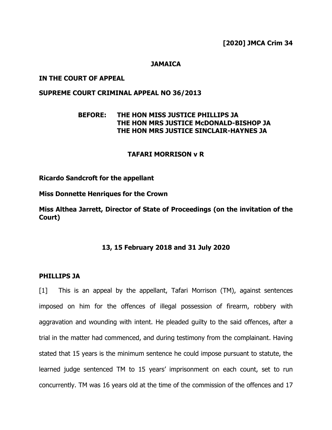**[2020] JMCA Crim 34**

# **JAMAICA**

## **IN THE COURT OF APPEAL**

# **SUPREME COURT CRIMINAL APPEAL NO 36/2013**

# **BEFORE: THE HON MISS JUSTICE PHILLIPS JA THE HON MRS JUSTICE McDONALD-BISHOP JA THE HON MRS JUSTICE SINCLAIR-HAYNES JA**

### **TAFARI MORRISON v R**

**Ricardo Sandcroft for the appellant**

**Miss Donnette Henriques for the Crown** 

**Miss Althea Jarrett, Director of State of Proceedings (on the invitation of the Court)**

## **13, 15 February 2018 and 31 July 2020**

#### **PHILLIPS JA**

[1] This is an appeal by the appellant, Tafari Morrison (TM), against sentences imposed on him for the offences of illegal possession of firearm, robbery with aggravation and wounding with intent. He pleaded guilty to the said offences, after a trial in the matter had commenced, and during testimony from the complainant. Having stated that 15 years is the minimum sentence he could impose pursuant to statute, the learned judge sentenced TM to 15 years' imprisonment on each count, set to run concurrently. TM was 16 years old at the time of the commission of the offences and 17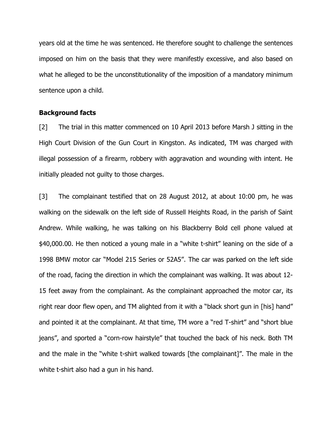years old at the time he was sentenced. He therefore sought to challenge the sentences imposed on him on the basis that they were manifestly excessive, and also based on what he alleged to be the unconstitutionality of the imposition of a mandatory minimum sentence upon a child.

### **Background facts**

[2] The trial in this matter commenced on 10 April 2013 before Marsh J sitting in the High Court Division of the Gun Court in Kingston. As indicated, TM was charged with illegal possession of a firearm, robbery with aggravation and wounding with intent. He initially pleaded not guilty to those charges.

[3] The complainant testified that on 28 August 2012, at about 10:00 pm, he was walking on the sidewalk on the left side of Russell Heights Road, in the parish of Saint Andrew. While walking, he was talking on his Blackberry Bold cell phone valued at \$40,000.00. He then noticed a young male in a "white t-shirt" leaning on the side of a 1998 BMW motor car "Model 215 Series or 52A5". The car was parked on the left side of the road, facing the direction in which the complainant was walking. It was about 12- 15 feet away from the complainant. As the complainant approached the motor car, its right rear door flew open, and TM alighted from it with a "black short gun in [his] hand" and pointed it at the complainant. At that time, TM wore a "red T-shirt" and "short blue jeans", and sported a "corn-row hairstyle" that touched the back of his neck. Both TM and the male in the "white t-shirt walked towards [the complainant]". The male in the white t-shirt also had a gun in his hand.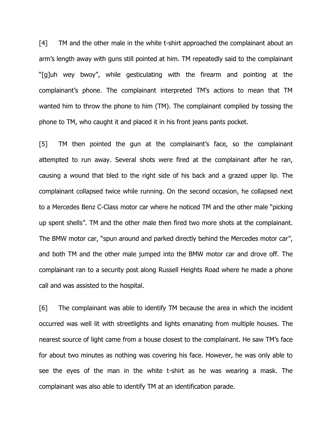[4] TM and the other male in the white t-shirt approached the complainant about an arm's length away with guns still pointed at him. TM repeatedly said to the complainant "[g]uh wey bwoy", while gesticulating with the firearm and pointing at the complainant's phone. The complainant interpreted TM's actions to mean that TM wanted him to throw the phone to him (TM). The complainant complied by tossing the phone to TM, who caught it and placed it in his front jeans pants pocket.

[5] TM then pointed the gun at the complainant's face, so the complainant attempted to run away. Several shots were fired at the complainant after he ran, causing a wound that bled to the right side of his back and a grazed upper lip. The complainant collapsed twice while running. On the second occasion, he collapsed next to a Mercedes Benz C-Class motor car where he noticed TM and the other male "picking up spent shells". TM and the other male then fired two more shots at the complainant. The BMW motor car, "spun around and parked directly behind the Mercedes motor car", and both TM and the other male jumped into the BMW motor car and drove off. The complainant ran to a security post along Russell Heights Road where he made a phone call and was assisted to the hospital.

[6] The complainant was able to identify TM because the area in which the incident occurred was well lit with streetlights and lights emanating from multiple houses. The nearest source of light came from a house closest to the complainant. He saw TM's face for about two minutes as nothing was covering his face. However, he was only able to see the eyes of the man in the white t-shirt as he was wearing a mask. The complainant was also able to identify TM at an identification parade.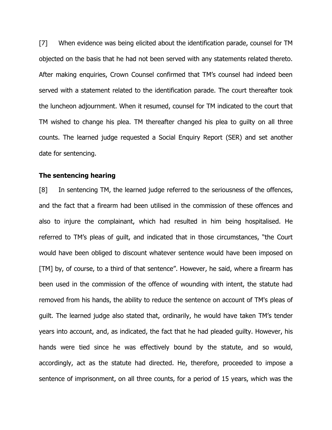[7] When evidence was being elicited about the identification parade, counsel for TM objected on the basis that he had not been served with any statements related thereto. After making enquiries, Crown Counsel confirmed that TM's counsel had indeed been served with a statement related to the identification parade. The court thereafter took the luncheon adjournment. When it resumed, counsel for TM indicated to the court that TM wished to change his plea. TM thereafter changed his plea to guilty on all three counts. The learned judge requested a Social Enquiry Report (SER) and set another date for sentencing.

### **The sentencing hearing**

[8] In sentencing TM, the learned judge referred to the seriousness of the offences, and the fact that a firearm had been utilised in the commission of these offences and also to injure the complainant, which had resulted in him being hospitalised. He referred to TM's pleas of guilt, and indicated that in those circumstances, "the Court would have been obliged to discount whatever sentence would have been imposed on [TM] by, of course, to a third of that sentence". However, he said, where a firearm has been used in the commission of the offence of wounding with intent, the statute had removed from his hands, the ability to reduce the sentence on account of TM's pleas of guilt. The learned judge also stated that, ordinarily, he would have taken TM's tender years into account, and, as indicated, the fact that he had pleaded guilty. However, his hands were tied since he was effectively bound by the statute, and so would, accordingly, act as the statute had directed. He, therefore, proceeded to impose a sentence of imprisonment, on all three counts, for a period of 15 years, which was the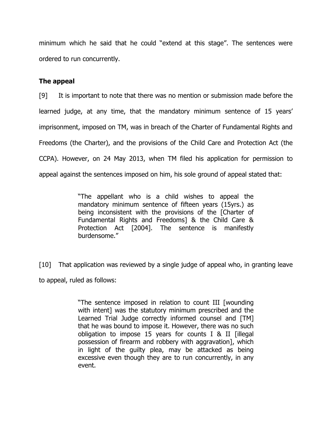minimum which he said that he could "extend at this stage". The sentences were ordered to run concurrently.

# **The appeal**

[9] It is important to note that there was no mention or submission made before the learned judge, at any time, that the mandatory minimum sentence of 15 years' imprisonment, imposed on TM, was in breach of the Charter of Fundamental Rights and Freedoms (the Charter), and the provisions of the Child Care and Protection Act (the CCPA). However, on 24 May 2013, when TM filed his application for permission to appeal against the sentences imposed on him, his sole ground of appeal stated that:

> "The appellant who is a child wishes to appeal the mandatory minimum sentence of fifteen years (15yrs.) as being inconsistent with the provisions of the [Charter of Fundamental Rights and Freedoms] & the Child Care & Protection Act [2004]. The sentence is manifestly burdensome."

[10] That application was reviewed by a single judge of appeal who, in granting leave to appeal, ruled as follows:

> "The sentence imposed in relation to count III [wounding with intent] was the statutory minimum prescribed and the Learned Trial Judge correctly informed counsel and [TM] that he was bound to impose it. However, there was no such obligation to impose 15 years for counts I & II [illegal possession of firearm and robbery with aggravation], which in light of the guilty plea, may be attacked as being excessive even though they are to run concurrently, in any event.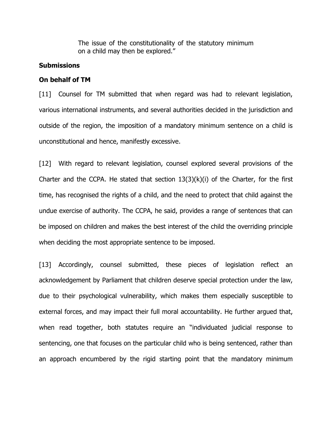The issue of the constitutionality of the statutory minimum on a child may then be explored."

## **Submissions**

### **On behalf of TM**

[11] Counsel for TM submitted that when regard was had to relevant legislation, various international instruments, and several authorities decided in the jurisdiction and outside of the region, the imposition of a mandatory minimum sentence on a child is unconstitutional and hence, manifestly excessive.

[12] With regard to relevant legislation, counsel explored several provisions of the Charter and the CCPA. He stated that section  $13(3)(k)(i)$  of the Charter, for the first time, has recognised the rights of a child, and the need to protect that child against the undue exercise of authority. The CCPA, he said, provides a range of sentences that can be imposed on children and makes the best interest of the child the overriding principle when deciding the most appropriate sentence to be imposed.

[13] Accordingly, counsel submitted, these pieces of legislation reflect an acknowledgement by Parliament that children deserve special protection under the law, due to their psychological vulnerability, which makes them especially susceptible to external forces, and may impact their full moral accountability. He further argued that, when read together, both statutes require an "individuated judicial response to sentencing, one that focuses on the particular child who is being sentenced, rather than an approach encumbered by the rigid starting point that the mandatory minimum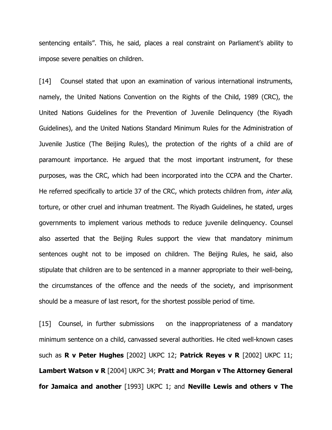sentencing entails". This, he said, places a real constraint on Parliament's ability to impose severe penalties on children.

[14] Counsel stated that upon an examination of various international instruments, namely, the United Nations Convention on the Rights of the Child, 1989 (CRC), the United Nations Guidelines for the Prevention of Juvenile Delinquency (the Riyadh Guidelines), and the United Nations Standard Minimum Rules for the Administration of Juvenile Justice (The Beijing Rules), the protection of the rights of a child are of paramount importance. He argued that the most important instrument, for these purposes, was the CRC, which had been incorporated into the CCPA and the Charter. He referred specifically to article 37 of the CRC, which protects children from, *inter alia*, torture, or other cruel and inhuman treatment. The Riyadh Guidelines, he stated, urges governments to implement various methods to reduce juvenile delinquency. Counsel also asserted that the Beijing Rules support the view that mandatory minimum sentences ought not to be imposed on children. The Beijing Rules, he said, also stipulate that children are to be sentenced in a manner appropriate to their well-being, the circumstances of the offence and the needs of the society, and imprisonment should be a measure of last resort, for the shortest possible period of time.

[15] Counsel, in further submissions on the inappropriateness of a mandatory minimum sentence on a child, canvassed several authorities. He cited well-known cases such as **R v Peter Hughes** [2002] UKPC 12; **Patrick Reyes v R** [2002] UKPC 11; **Lambert Watson v R** [2004] UKPC 34; **Pratt and Morgan v The Attorney General for Jamaica and another** [1993] UKPC 1; and **Neville Lewis and others v The**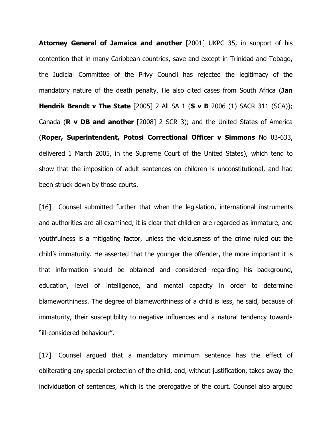**Attorney General of Jamaica and another** [2001] UKPC 35, in support of his contention that in many Caribbean countries, save and except in Trinidad and Tobago, the Judicial Committee of the Privy Council has rejected the legitimacy of the mandatory nature of the death penalty. He also cited cases from South Africa (**Jan Hendrik Brandt v The State** [2005] 2 All SA 1 (**S v B** 2006 (1) SACR 311 (SCA)); Canada (**R v DB and another** [2008] 2 SCR 3); and the United States of America (**Roper, Superintendent, Potosi Correctional Officer v Simmons** No 03-633, delivered 1 March 2005, in the Supreme Court of the United States), which tend to show that the imposition of adult sentences on children is unconstitutional, and had been struck down by those courts.

[16] Counsel submitted further that when the legislation, international instruments and authorities are all examined, it is clear that children are regarded as immature, and youthfulness is a mitigating factor, unless the viciousness of the crime ruled out the child's immaturity. He asserted that the younger the offender, the more important it is that information should be obtained and considered regarding his background, education, level of intelligence, and mental capacity in order to determine blameworthiness. The degree of blameworthiness of a child is less, he said, because of immaturity, their susceptibility to negative influences and a natural tendency towards "ill-considered behaviour".

[17] Counsel argued that a mandatory minimum sentence has the effect of obliterating any special protection of the child, and, without justification, takes away the individuation of sentences, which is the prerogative of the court. Counsel also argued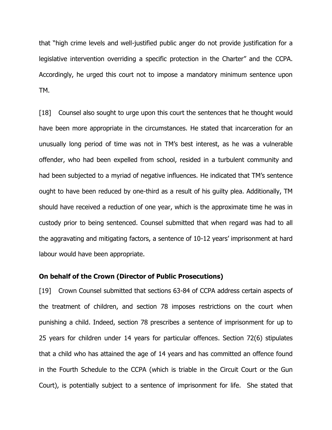that "high crime levels and well-justified public anger do not provide justification for a legislative intervention overriding a specific protection in the Charter" and the CCPA. Accordingly, he urged this court not to impose a mandatory minimum sentence upon TM.

[18] Counsel also sought to urge upon this court the sentences that he thought would have been more appropriate in the circumstances. He stated that incarceration for an unusually long period of time was not in TM's best interest, as he was a vulnerable offender, who had been expelled from school, resided in a turbulent community and had been subjected to a myriad of negative influences. He indicated that TM's sentence ought to have been reduced by one-third as a result of his guilty plea. Additionally, TM should have received a reduction of one year, which is the approximate time he was in custody prior to being sentenced. Counsel submitted that when regard was had to all the aggravating and mitigating factors, a sentence of 10-12 years' imprisonment at hard labour would have been appropriate.

### **On behalf of the Crown (Director of Public Prosecutions)**

[19] Crown Counsel submitted that sections 63-84 of CCPA address certain aspects of the treatment of children, and section 78 imposes restrictions on the court when punishing a child. Indeed, section 78 prescribes a sentence of imprisonment for up to 25 years for children under 14 years for particular offences. Section 72(6) stipulates that a child who has attained the age of 14 years and has committed an offence found in the Fourth Schedule to the CCPA (which is triable in the Circuit Court or the Gun Court), is potentially subject to a sentence of imprisonment for life. She stated that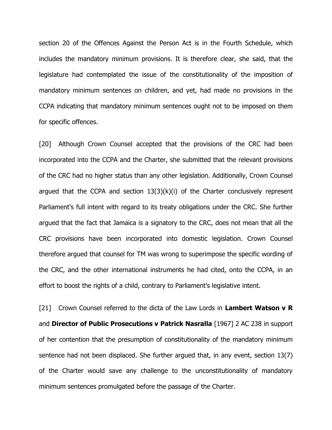section 20 of the Offences Against the Person Act is in the Fourth Schedule, which includes the mandatory minimum provisions. It is therefore clear, she said, that the legislature had contemplated the issue of the constitutionality of the imposition of mandatory minimum sentences on children, and yet, had made no provisions in the CCPA indicating that mandatory minimum sentences ought not to be imposed on them for specific offences.

[20] Although Crown Counsel accepted that the provisions of the CRC had been incorporated into the CCPA and the Charter, she submitted that the relevant provisions of the CRC had no higher status than any other legislation. Additionally, Crown Counsel argued that the CCPA and section  $13(3)(k)(i)$  of the Charter conclusively represent Parliament's full intent with regard to its treaty obligations under the CRC. She further argued that the fact that Jamaica is a signatory to the CRC, does not mean that all the CRC provisions have been incorporated into domestic legislation. Crown Counsel therefore argued that counsel for TM was wrong to superimpose the specific wording of the CRC, and the other international instruments he had cited, onto the CCPA, in an effort to boost the rights of a child, contrary to Parliament's legislative intent.

[21] Crown Counsel referred to the dicta of the Law Lords in **Lambert Watson v R**  and **Director of Public Prosecutions v Patrick Nasralla** [1967] 2 AC 238 in support of her contention that the presumption of constitutionality of the mandatory minimum sentence had not been displaced. She further argued that, in any event, section 13(7) of the Charter would save any challenge to the unconstitutionality of mandatory minimum sentences promulgated before the passage of the Charter.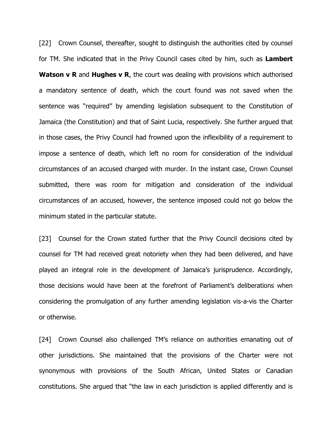[22] Crown Counsel, thereafter, sought to distinguish the authorities cited by counsel for TM. She indicated that in the Privy Council cases cited by him, such as **Lambert Watson v R** and **Hughes v R**, the court was dealing with provisions which authorised a mandatory sentence of death, which the court found was not saved when the sentence was "required" by amending legislation subsequent to the Constitution of Jamaica (the Constitution) and that of Saint Lucia, respectively. She further argued that in those cases, the Privy Council had frowned upon the inflexibility of a requirement to impose a sentence of death, which left no room for consideration of the individual circumstances of an accused charged with murder. In the instant case, Crown Counsel submitted, there was room for mitigation and consideration of the individual circumstances of an accused, however, the sentence imposed could not go below the minimum stated in the particular statute.

[23] Counsel for the Crown stated further that the Privy Council decisions cited by counsel for TM had received great notoriety when they had been delivered, and have played an integral role in the development of Jamaica's jurisprudence. Accordingly, those decisions would have been at the forefront of Parliament's deliberations when considering the promulgation of any further amending legislation vis-a-vis the Charter or otherwise.

[24] Crown Counsel also challenged TM's reliance on authorities emanating out of other jurisdictions. She maintained that the provisions of the Charter were not synonymous with provisions of the South African, United States or Canadian constitutions. She argued that "the law in each jurisdiction is applied differently and is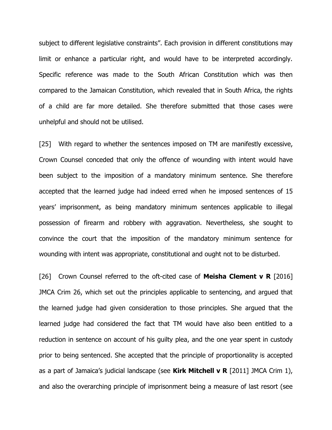subject to different legislative constraints". Each provision in different constitutions may limit or enhance a particular right, and would have to be interpreted accordingly. Specific reference was made to the South African Constitution which was then compared to the Jamaican Constitution, which revealed that in South Africa, the rights of a child are far more detailed. She therefore submitted that those cases were unhelpful and should not be utilised.

[25] With regard to whether the sentences imposed on TM are manifestly excessive, Crown Counsel conceded that only the offence of wounding with intent would have been subject to the imposition of a mandatory minimum sentence. She therefore accepted that the learned judge had indeed erred when he imposed sentences of 15 years' imprisonment, as being mandatory minimum sentences applicable to illegal possession of firearm and robbery with aggravation. Nevertheless, she sought to convince the court that the imposition of the mandatory minimum sentence for wounding with intent was appropriate, constitutional and ought not to be disturbed.

[26] Crown Counsel referred to the oft-cited case of **Meisha Clement v R** [2016] JMCA Crim 26, which set out the principles applicable to sentencing, and argued that the learned judge had given consideration to those principles. She argued that the learned judge had considered the fact that TM would have also been entitled to a reduction in sentence on account of his guilty plea, and the one year spent in custody prior to being sentenced. She accepted that the principle of proportionality is accepted as a part of Jamaica's judicial landscape (see **Kirk Mitchell v R** [2011] JMCA Crim 1), and also the overarching principle of imprisonment being a measure of last resort (see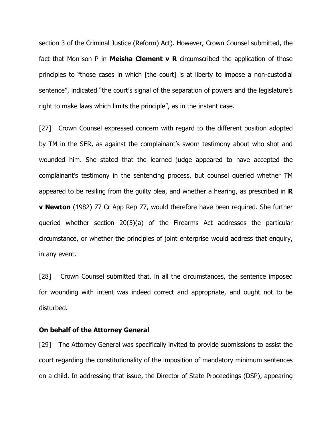section 3 of the Criminal Justice (Reform) Act). However, Crown Counsel submitted, the fact that Morrison P in **Meisha Clement v R** circumscribed the application of those principles to "those cases in which [the court] is at liberty to impose a non-custodial sentence", indicated "the court's signal of the separation of powers and the legislature's right to make laws which limits the principle", as in the instant case.

[27] Crown Counsel expressed concern with regard to the different position adopted by TM in the SER, as against the complainant's sworn testimony about who shot and wounded him. She stated that the learned judge appeared to have accepted the complainant's testimony in the sentencing process, but counsel queried whether TM appeared to be resiling from the guilty plea, and whether a hearing, as prescribed in **R v Newton** (1982) 77 Cr App Rep 77, would therefore have been required. She further queried whether section 20(5)(a) of the Firearms Act addresses the particular circumstance, or whether the principles of joint enterprise would address that enquiry, in any event.

[28] Crown Counsel submitted that, in all the circumstances, the sentence imposed for wounding with intent was indeed correct and appropriate, and ought not to be disturbed.

### **On behalf of the Attorney General**

[29] The Attorney General was specifically invited to provide submissions to assist the court regarding the constitutionality of the imposition of mandatory minimum sentences on a child. In addressing that issue, the Director of State Proceedings (DSP), appearing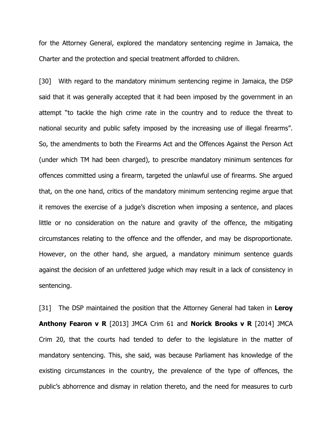for the Attorney General, explored the mandatory sentencing regime in Jamaica, the Charter and the protection and special treatment afforded to children.

[30] With regard to the mandatory minimum sentencing regime in Jamaica, the DSP said that it was generally accepted that it had been imposed by the government in an attempt "to tackle the high crime rate in the country and to reduce the threat to national security and public safety imposed by the increasing use of illegal firearms". So, the amendments to both the Firearms Act and the Offences Against the Person Act (under which TM had been charged), to prescribe mandatory minimum sentences for offences committed using a firearm, targeted the unlawful use of firearms. She argued that, on the one hand, critics of the mandatory minimum sentencing regime argue that it removes the exercise of a judge's discretion when imposing a sentence, and places little or no consideration on the nature and gravity of the offence, the mitigating circumstances relating to the offence and the offender, and may be disproportionate. However, on the other hand, she argued, a mandatory minimum sentence guards against the decision of an unfettered judge which may result in a lack of consistency in sentencing.

[31] The DSP maintained the position that the Attorney General had taken in **Leroy Anthony Fearon v R** [2013] JMCA Crim 61 and **Norick Brooks v R** [2014] JMCA Crim 20, that the courts had tended to defer to the legislature in the matter of mandatory sentencing. This, she said, was because Parliament has knowledge of the existing circumstances in the country, the prevalence of the type of offences, the public's abhorrence and dismay in relation thereto, and the need for measures to curb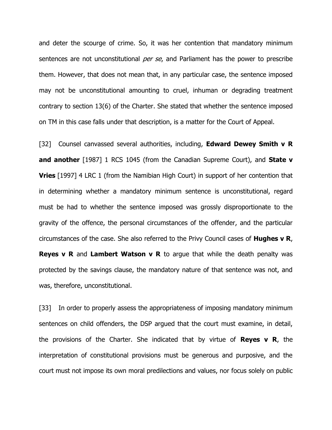and deter the scourge of crime. So, it was her contention that mandatory minimum sentences are not unconstitutional *per se*, and Parliament has the power to prescribe them. However, that does not mean that, in any particular case, the sentence imposed may not be unconstitutional amounting to cruel, inhuman or degrading treatment contrary to section 13(6) of the Charter. She stated that whether the sentence imposed on TM in this case falls under that description, is a matter for the Court of Appeal.

[32] Counsel canvassed several authorities, including, **Edward Dewey Smith v R and another** [1987] 1 RCS 1045 (from the Canadian Supreme Court), and **State v Vries** [1997] 4 LRC 1 (from the Namibian High Court) in support of her contention that in determining whether a mandatory minimum sentence is unconstitutional, regard must be had to whether the sentence imposed was grossly disproportionate to the gravity of the offence, the personal circumstances of the offender, and the particular circumstances of the case. She also referred to the Privy Council cases of **Hughes v R**, **Reyes v R** and **Lambert Watson v R** to argue that while the death penalty was protected by the savings clause, the mandatory nature of that sentence was not, and was, therefore, unconstitutional.

[33] In order to properly assess the appropriateness of imposing mandatory minimum sentences on child offenders, the DSP argued that the court must examine, in detail, the provisions of the Charter. She indicated that by virtue of **Reyes v R**, the interpretation of constitutional provisions must be generous and purposive, and the court must not impose its own moral predilections and values, nor focus solely on public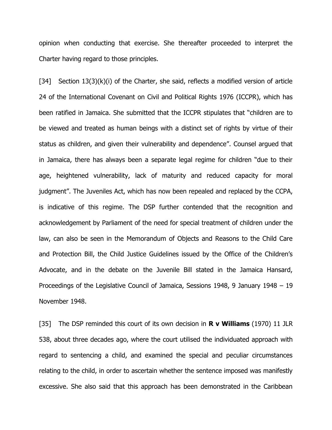opinion when conducting that exercise. She thereafter proceeded to interpret the Charter having regard to those principles.

[34] Section  $13(3)(k)(i)$  of the Charter, she said, reflects a modified version of article 24 of the International Covenant on Civil and Political Rights 1976 (ICCPR), which has been ratified in Jamaica. She submitted that the ICCPR stipulates that "children are to be viewed and treated as human beings with a distinct set of rights by virtue of their status as children, and given their vulnerability and dependence". Counsel argued that in Jamaica, there has always been a separate legal regime for children "due to their age, heightened vulnerability, lack of maturity and reduced capacity for moral judgment". The Juveniles Act, which has now been repealed and replaced by the CCPA, is indicative of this regime. The DSP further contended that the recognition and acknowledgement by Parliament of the need for special treatment of children under the law, can also be seen in the Memorandum of Objects and Reasons to the Child Care and Protection Bill, the Child Justice Guidelines issued by the Office of the Children's Advocate, and in the debate on the Juvenile Bill stated in the Jamaica Hansard, Proceedings of the Legislative Council of Jamaica, Sessions 1948, 9 January 1948 – 19 November 1948.

[35] The DSP reminded this court of its own decision in **R v Williams** (1970) 11 JLR 538, about three decades ago, where the court utilised the individuated approach with regard to sentencing a child, and examined the special and peculiar circumstances relating to the child, in order to ascertain whether the sentence imposed was manifestly excessive. She also said that this approach has been demonstrated in the Caribbean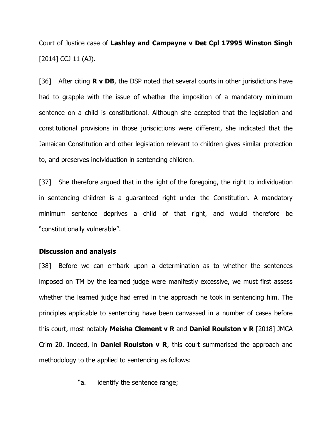Court of Justice case of **Lashley and Campayne v Det Cpl 17995 Winston Singh**  [2014] CCJ 11 (AJ).

[36] After citing **R v DB**, the DSP noted that several courts in other jurisdictions have had to grapple with the issue of whether the imposition of a mandatory minimum sentence on a child is constitutional. Although she accepted that the legislation and constitutional provisions in those jurisdictions were different, she indicated that the Jamaican Constitution and other legislation relevant to children gives similar protection to, and preserves individuation in sentencing children.

[37] She therefore argued that in the light of the foregoing, the right to individuation in sentencing children is a guaranteed right under the Constitution. A mandatory minimum sentence deprives a child of that right, and would therefore be "constitutionally vulnerable".

### **Discussion and analysis**

[38] Before we can embark upon a determination as to whether the sentences imposed on TM by the learned judge were manifestly excessive, we must first assess whether the learned judge had erred in the approach he took in sentencing him. The principles applicable to sentencing have been canvassed in a number of cases before this court, most notably **Meisha Clement v R** and **Daniel Roulston v R** [2018] JMCA Crim 20. Indeed, in **Daniel Roulston v R**, this court summarised the approach and methodology to the applied to sentencing as follows:

"a. identify the sentence range;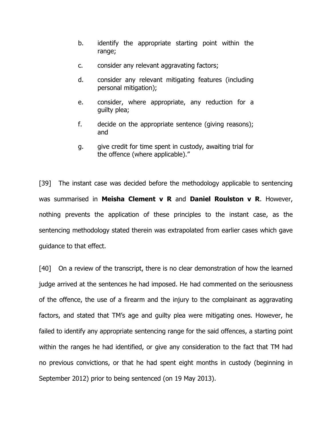- b. identify the appropriate starting point within the range;
- c. consider any relevant aggravating factors;
- d. consider any relevant mitigating features (including personal mitigation);
- e. consider, where appropriate, any reduction for a guilty plea;
- f. decide on the appropriate sentence (giving reasons); and
- g. give credit for time spent in custody, awaiting trial for the offence (where applicable)."

[39] The instant case was decided before the methodology applicable to sentencing was summarised in **Meisha Clement v R** and **Daniel Roulston v R**. However, nothing prevents the application of these principles to the instant case, as the sentencing methodology stated therein was extrapolated from earlier cases which gave guidance to that effect.

[40] On a review of the transcript, there is no clear demonstration of how the learned judge arrived at the sentences he had imposed. He had commented on the seriousness of the offence, the use of a firearm and the injury to the complainant as aggravating factors, and stated that TM's age and guilty plea were mitigating ones. However, he failed to identify any appropriate sentencing range for the said offences, a starting point within the ranges he had identified, or give any consideration to the fact that TM had no previous convictions, or that he had spent eight months in custody (beginning in September 2012) prior to being sentenced (on 19 May 2013).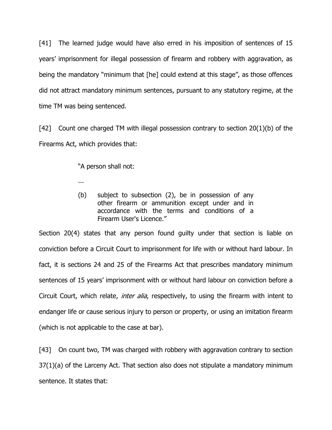[41] The learned judge would have also erred in his imposition of sentences of 15 years' imprisonment for illegal possession of firearm and robbery with aggravation, as being the mandatory "minimum that [he] could extend at this stage", as those offences did not attract mandatory minimum sentences, pursuant to any statutory regime, at the time TM was being sentenced.

[42] Count one charged TM with illegal possession contrary to section  $20(1)(b)$  of the Firearms Act, which provides that:

"A person shall not:

...

(b) subject to subsection (2), be in possession of any other firearm or ammunition except under and in accordance with the terms and conditions of a Firearm User's Licence."

Section 20(4) states that any person found guilty under that section is liable on conviction before a Circuit Court to imprisonment for life with or without hard labour. In fact, it is sections 24 and 25 of the Firearms Act that prescribes mandatory minimum sentences of 15 years' imprisonment with or without hard labour on conviction before a Circuit Court, which relate, *inter alia*, respectively, to using the firearm with intent to endanger life or cause serious injury to person or property, or using an imitation firearm (which is not applicable to the case at bar).

[43] On count two, TM was charged with robbery with aggravation contrary to section 37(1)(a) of the Larceny Act. That section also does not stipulate a mandatory minimum sentence. It states that: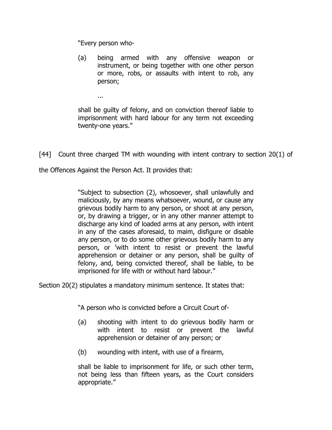"Every person who-

...

(a) being armed with any offensive weapon or instrument, or being together with one other person or more, robs, or assaults with intent to rob, any person;

shall be guilty of felony, and on conviction thereof liable to imprisonment with hard labour for any term not exceeding twenty-one years."

[44] Count three charged TM with wounding with intent contrary to section 20(1) of

the Offences Against the Person Act. It provides that:

"Subject to subsection (2), whosoever, shall unlawfully and maliciously, by any means whatsoever, wound, or cause any grievous bodily harm to any person, or shoot at any person, or, by drawing a trigger, or in any other manner attempt to discharge any kind of loaded arms at any person, with intent in any of the cases aforesaid, to maim, disfigure or disable any person, or to do some other grievous bodily harm to any person, or 'with intent to resist or prevent the lawful apprehension or detainer or any person, shall be guilty of felony, and, being convicted thereof, shall be liable, to be imprisoned for life with or without hard labour."

Section 20(2) stipulates a mandatory minimum sentence. It states that:

"A person who is convicted before a Circuit Court of-

- (a) shooting with intent to do grievous bodily harm or with intent to resist or prevent the lawful apprehension or detainer of any person; or
- (b) wounding with intent, with use of a firearm,

shall be liable to imprisonment for life, or such other term, not being less than fifteen years, as the Court considers appropriate."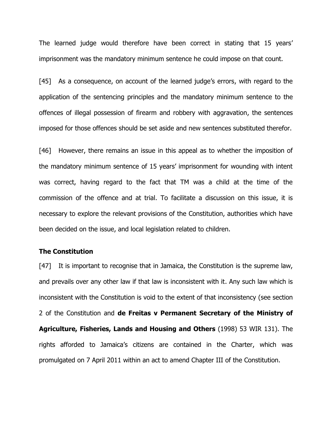The learned judge would therefore have been correct in stating that 15 years' imprisonment was the mandatory minimum sentence he could impose on that count.

[45] As a consequence, on account of the learned judge's errors, with regard to the application of the sentencing principles and the mandatory minimum sentence to the offences of illegal possession of firearm and robbery with aggravation, the sentences imposed for those offences should be set aside and new sentences substituted therefor.

[46] However, there remains an issue in this appeal as to whether the imposition of the mandatory minimum sentence of 15 years' imprisonment for wounding with intent was correct, having regard to the fact that TM was a child at the time of the commission of the offence and at trial. To facilitate a discussion on this issue, it is necessary to explore the relevant provisions of the Constitution, authorities which have been decided on the issue, and local legislation related to children.

### **The Constitution**

[47] It is important to recognise that in Jamaica, the Constitution is the supreme law, and prevails over any other law if that law is inconsistent with it. Any such law which is inconsistent with the Constitution is void to the extent of that inconsistency (see section 2 of the Constitution and **de Freitas v Permanent Secretary of the Ministry of Agriculture, Fisheries, Lands and Housing and Others** (1998) 53 WIR 131). The rights afforded to Jamaica's citizens are contained in the Charter, which was promulgated on 7 April 2011 within an act to amend Chapter III of the Constitution.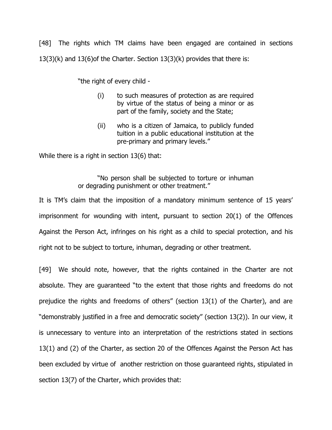[48] The rights which TM claims have been engaged are contained in sections 13(3)(k) and 13(6)of the Charter. Section 13(3)(k) provides that there is:

"the right of every child -

- (i) to such measures of protection as are required by virtue of the status of being a minor or as part of the family, society and the State;
- (ii) who is a citizen of Jamaica, to publicly funded tuition in a public educational institution at the pre-primary and primary levels."

While there is a right in section 13(6) that:

"No person shall be subjected to torture or inhuman or degrading punishment or other treatment."

It is TM's claim that the imposition of a mandatory minimum sentence of 15 years' imprisonment for wounding with intent, pursuant to section 20(1) of the Offences Against the Person Act, infringes on his right as a child to special protection, and his right not to be subject to torture, inhuman, degrading or other treatment.

[49] We should note, however, that the rights contained in the Charter are not absolute. They are guaranteed "to the extent that those rights and freedoms do not prejudice the rights and freedoms of others" (section 13(1) of the Charter), and are "demonstrably justified in a free and democratic society" (section 13(2)). In our view, it is unnecessary to venture into an interpretation of the restrictions stated in sections 13(1) and (2) of the Charter, as section 20 of the Offences Against the Person Act has been excluded by virtue of another restriction on those guaranteed rights, stipulated in section 13(7) of the Charter, which provides that: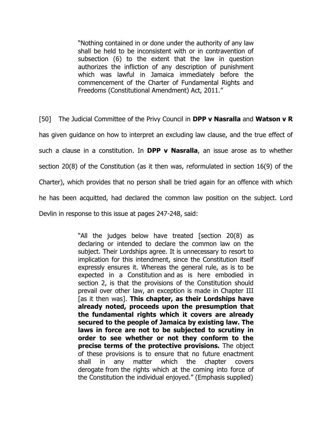"Nothing contained in or done under the authority of any law shall be held to be inconsistent with or in contravention of subsection (6) to the extent that the law in question authorizes the infliction of any description of punishment which was lawful in Jamaica immediately before the commencement of the Charter of Fundamental Rights and Freedoms (Constitutional Amendment) Act, 2011."

[50] The Judicial Committee of the Privy Council in **DPP v Nasralla** and **Watson v R** has given guidance on how to interpret an excluding law clause, and the true effect of such a clause in a constitution. In **DPP v Nasralla**, an issue arose as to whether section 20(8) of the Constitution (as it then was, reformulated in section 16(9) of the Charter), which provides that no person shall be tried again for an offence with which he has been acquitted, had declared the common law position on the subject. Lord Devlin in response to this issue at pages 247-248, said:

> "All the judges below have treated [section 20(8) as declaring or intended to declare the common law on the subject. Their Lordships agree. It is unnecessary to resort to implication for this intendment, since the Constitution itself expressly ensures it. Whereas the general rule, as is to be expected in a Constitution and as is here embodied in section 2, is that the provisions of the Constitution should prevail over other law, an exception is made in Chapter III [as it then was]. **This chapter, as their Lordships have already noted, proceeds upon the presumption that the fundamental rights which it covers are already secured to the people of Jamaica by existing law. The laws in force are not to be subjected to scrutiny in order to see whether or not they conform to the precise terms of the protective provisions.** The object of these provisions is to ensure that no future enactment shall in any matter which the chapter covers derogate from the rights which at the coming into force of the Constitution the individual enjoyed." (Emphasis supplied)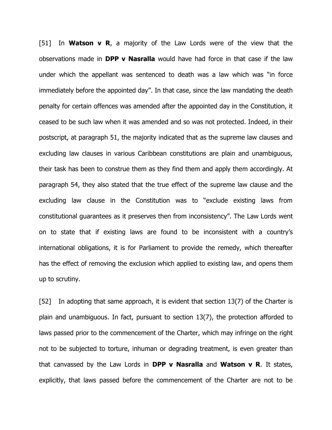[51] In **Watson v R**, a majority of the Law Lords were of the view that the observations made in **DPP v Nasralla** would have had force in that case if the law under which the appellant was sentenced to death was a law which was "in force immediately before the appointed day". In that case, since the law mandating the death penalty for certain offences was amended after the appointed day in the Constitution, it ceased to be such law when it was amended and so was not protected. Indeed, in their postscript, at paragraph 51, the majority indicated that as the supreme law clauses and excluding law clauses in various Caribbean constitutions are plain and unambiguous, their task has been to construe them as they find them and apply them accordingly. At paragraph 54, they also stated that the true effect of the supreme law clause and the excluding law clause in the Constitution was to "exclude existing laws from constitutional guarantees as it preserves then from inconsistency". The Law Lords went on to state that if existing laws are found to be inconsistent with a country's international obligations, it is for Parliament to provide the remedy, which thereafter has the effect of removing the exclusion which applied to existing law, and opens them up to scrutiny.

[52] In adopting that same approach, it is evident that section 13(7) of the Charter is plain and unambiguous. In fact, pursuant to section 13(7), the protection afforded to laws passed prior to the commencement of the Charter, which may infringe on the right not to be subjected to torture, inhuman or degrading treatment, is even greater than that canvassed by the Law Lords in **DPP v Nasralla** and **Watson v R**. It states, explicitly, that laws passed before the commencement of the Charter are not to be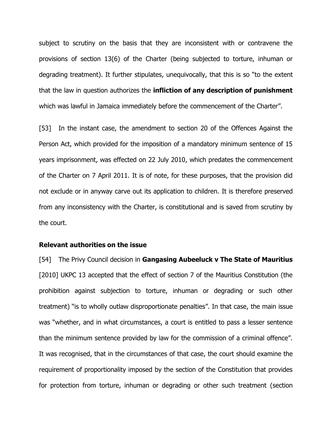subject to scrutiny on the basis that they are inconsistent with or contravene the provisions of section 13(6) of the Charter (being subjected to torture, inhuman or degrading treatment). It further stipulates, unequivocally, that this is so "to the extent that the law in question authorizes the **infliction of any description of punishment** which was lawful in Jamaica immediately before the commencement of the Charter".

[53] In the instant case, the amendment to section 20 of the Offences Against the Person Act, which provided for the imposition of a mandatory minimum sentence of 15 years imprisonment, was effected on 22 July 2010, which predates the commencement of the Charter on 7 April 2011. It is of note, for these purposes, that the provision did not exclude or in anyway carve out its application to children. It is therefore preserved from any inconsistency with the Charter, is constitutional and is saved from scrutiny by the court.

### **Relevant authorities on the issue**

[54] The Privy Council decision in **Gangasing Aubeeluck v The State of Mauritius**  [2010] UKPC 13 accepted that the effect of section 7 of the Mauritius Constitution (the prohibition against subjection to torture, inhuman or degrading or such other treatment) "is to wholly outlaw disproportionate penalties". In that case, the main issue was "whether, and in what circumstances, a court is entitled to pass a lesser sentence than the minimum sentence provided by law for the commission of a criminal offence". It was recognised, that in the circumstances of that case, the court should examine the requirement of proportionality imposed by the section of the Constitution that provides for protection from torture, inhuman or degrading or other such treatment (section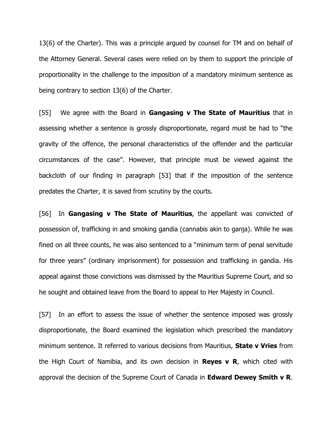13(6) of the Charter). This was a principle argued by counsel for TM and on behalf of the Attorney General. Several cases were relied on by them to support the principle of proportionality in the challenge to the imposition of a mandatory minimum sentence as being contrary to section 13(6) of the Charter.

[55] We agree with the Board in **Gangasing v The State of Mauritius** that in assessing whether a sentence is grossly disproportionate, regard must be had to "the gravity of the offence, the personal characteristics of the offender and the particular circumstances of the case". However, that principle must be viewed against the backcloth of our finding in paragraph [53] that if the imposition of the sentence predates the Charter, it is saved from scrutiny by the courts.

[56] In **Gangasing v The State of Mauritius**, the appellant was convicted of possession of, trafficking in and smoking gandia (cannabis akin to ganja). While he was fined on all three counts, he was also sentenced to a "minimum term of penal servitude for three years" (ordinary imprisonment) for possession and trafficking in gandia. His appeal against those convictions was dismissed by the Mauritius Supreme Court, and so he sought and obtained leave from the Board to appeal to Her Majesty in Council.

[57] In an effort to assess the issue of whether the sentence imposed was grossly disproportionate, the Board examined the legislation which prescribed the mandatory minimum sentence. It referred to various decisions from Mauritius, **State v Vries** from the High Court of Namibia, and its own decision in **Reyes v R**, which cited with approval the decision of the Supreme Court of Canada in **Edward Dewey Smith v R**.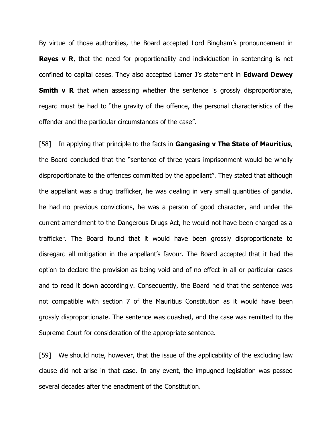By virtue of those authorities, the Board accepted Lord Bingham's pronouncement in **Reyes v R**, that the need for proportionality and individuation in sentencing is not confined to capital cases. They also accepted Lamer J's statement in **Edward Dewey Smith v R** that when assessing whether the sentence is grossly disproportionate, regard must be had to "the gravity of the offence, the personal characteristics of the offender and the particular circumstances of the case".

[58] In applying that principle to the facts in **Gangasing v The State of Mauritius**, the Board concluded that the "sentence of three years imprisonment would be wholly disproportionate to the offences committed by the appellant". They stated that although the appellant was a drug trafficker, he was dealing in very small quantities of gandia, he had no previous convictions, he was a person of good character, and under the current amendment to the Dangerous Drugs Act, he would not have been charged as a trafficker. The Board found that it would have been grossly disproportionate to disregard all mitigation in the appellant's favour. The Board accepted that it had the option to declare the provision as being void and of no effect in all or particular cases and to read it down accordingly. Consequently, the Board held that the sentence was not compatible with section 7 of the Mauritius Constitution as it would have been grossly disproportionate. The sentence was quashed, and the case was remitted to the Supreme Court for consideration of the appropriate sentence.

[59] We should note, however, that the issue of the applicability of the excluding law clause did not arise in that case. In any event, the impugned legislation was passed several decades after the enactment of the Constitution.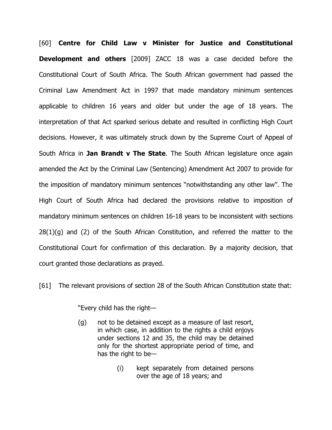[60] **Centre for Child Law v Minister for Justice and Constitutional Development and others** [2009] ZACC 18 was a case decided before the Constitutional Court of South Africa. The South African government had passed the Criminal Law Amendment Act in 1997 that made mandatory minimum sentences applicable to children 16 years and older but under the age of 18 years. The interpretation of that Act sparked serious debate and resulted in conflicting High Court decisions. However, it was ultimately struck down by the Supreme Court of Appeal of South Africa in **Jan Brandt v The State**. The South African legislature once again amended the Act by the Criminal Law (Sentencing) Amendment Act 2007 to provide for the imposition of mandatory minimum sentences "notwithstanding any other law". The High Court of South Africa had declared the provisions relative to imposition of mandatory minimum sentences on children 16-18 years to be inconsistent with sections  $28(1)(q)$  and (2) of the South African Constitution, and referred the matter to the Constitutional Court for confirmation of this declaration. By a majority decision, that court granted those declarations as prayed.

[61] The relevant provisions of section 28 of the South African Constitution state that:

"Every child has the right—

- (g) not to be detained except as a measure of last resort, in which case, in addition to the rights a child enjoys under sections 12 and 35, the child may be detained only for the shortest appropriate period of time, and has the right to be—
	- (i) kept separately from detained persons over the age of 18 years; and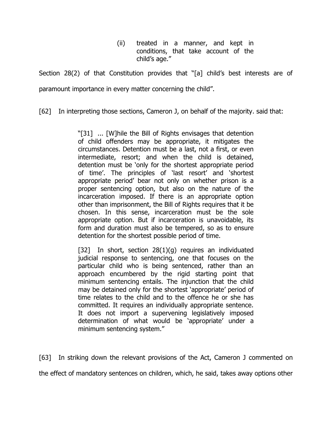(ii) treated in a manner, and kept in conditions, that take account of the child's age."

Section 28(2) of that Constitution provides that "[a] child's best interests are of paramount importance in every matter concerning the child".

[62] In interpreting those sections, Cameron J, on behalf of the majority. said that:

"[31] ... [W]hile the Bill of Rights envisages that detention of child offenders may be appropriate, it mitigates the circumstances. Detention must be a last, not a first, or even intermediate, resort; and when the child is detained, detention must be 'only for the shortest appropriate period of time'. The principles of 'last resort' and 'shortest appropriate period' bear not only on whether prison is a proper sentencing option, but also on the nature of the incarceration imposed. If there is an appropriate option other than imprisonment, the Bill of Rights requires that it be chosen. In this sense, incarceration must be the sole appropriate option. But if incarceration is unavoidable, its form and duration must also be tempered, so as to ensure detention for the shortest possible period of time.

[32] In short, section  $28(1)(g)$  requires an individuated judicial response to sentencing, one that focuses on the particular child who is being sentenced, rather than an approach encumbered by the rigid starting point that minimum sentencing entails. The injunction that the child may be detained only for the shortest 'appropriate' period of time relates to the child and to the offence he or she has committed. It requires an individually appropriate sentence. It does not import a supervening legislatively imposed determination of what would be 'appropriate' under a minimum sentencing system."

[63] In striking down the relevant provisions of the Act, Cameron J commented on the effect of mandatory sentences on children, which, he said, takes away options other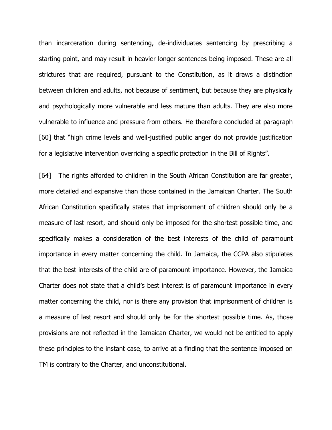than incarceration during sentencing, de-individuates sentencing by prescribing a starting point, and may result in heavier longer sentences being imposed. These are all strictures that are required, pursuant to the Constitution, as it draws a distinction between children and adults, not because of sentiment, but because they are physically and psychologically more vulnerable and less mature than adults. They are also more vulnerable to influence and pressure from others. He therefore concluded at paragraph [60] that "high crime levels and well-justified public anger do not provide justification for a legislative intervention overriding a specific protection in the Bill of Rights".

[64] The rights afforded to children in the South African Constitution are far greater, more detailed and expansive than those contained in the Jamaican Charter. The South African Constitution specifically states that imprisonment of children should only be a measure of last resort, and should only be imposed for the shortest possible time, and specifically makes a consideration of the best interests of the child of paramount importance in every matter concerning the child. In Jamaica, the CCPA also stipulates that the best interests of the child are of paramount importance. However, the Jamaica Charter does not state that a child's best interest is of paramount importance in every matter concerning the child, nor is there any provision that imprisonment of children is a measure of last resort and should only be for the shortest possible time. As, those provisions are not reflected in the Jamaican Charter, we would not be entitled to apply these principles to the instant case, to arrive at a finding that the sentence imposed on TM is contrary to the Charter, and unconstitutional.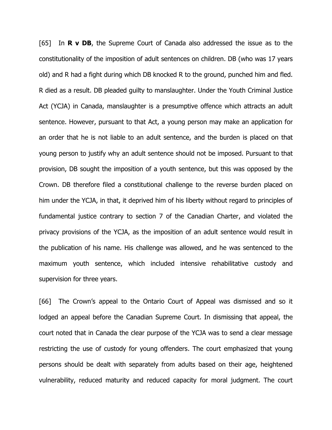[65] In **R v DB**, the Supreme Court of Canada also addressed the issue as to the constitutionality of the imposition of adult sentences on children. DB (who was 17 years old) and R had a fight during which DB knocked R to the ground, punched him and fled. R died as a result. DB pleaded guilty to manslaughter. Under the Youth Criminal Justice Act (YCJA) in Canada, manslaughter is a presumptive offence which attracts an adult sentence. However, pursuant to that Act, a young person may make an application for an order that he is not liable to an adult sentence, and the burden is placed on that young person to justify why an adult sentence should not be imposed. Pursuant to that provision, DB sought the imposition of a youth sentence, but this was opposed by the Crown. DB therefore filed a constitutional challenge to the reverse burden placed on him under the YCJA, in that, it deprived him of his liberty without regard to principles of fundamental justice contrary to section 7 of the Canadian Charter, and violated the privacy provisions of the YCJA, as the imposition of an adult sentence would result in the publication of his name. His challenge was allowed, and he was sentenced to the maximum youth sentence, which included intensive rehabilitative custody and supervision for three years.

[66] The Crown's appeal to the Ontario Court of Appeal was dismissed and so it lodged an appeal before the Canadian Supreme Court. In dismissing that appeal, the court noted that in Canada the clear purpose of the YCJA was to send a clear message restricting the use of custody for young offenders. The court emphasized that young persons should be dealt with separately from adults based on their age, heightened vulnerability, reduced maturity and reduced capacity for moral judgment. The court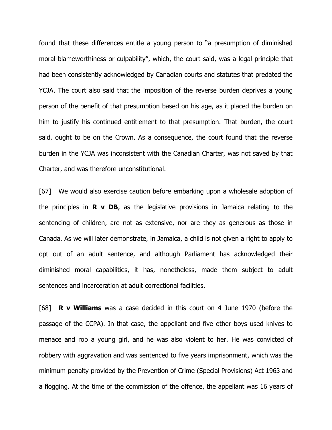found that these differences entitle a young person to "a presumption of diminished moral blameworthiness or culpability", which, the court said, was a legal principle that had been consistently acknowledged by Canadian courts and statutes that predated the YCJA. The court also said that the imposition of the reverse burden deprives a young person of the benefit of that presumption based on his age, as it placed the burden on him to justify his continued entitlement to that presumption. That burden, the court said, ought to be on the Crown. As a consequence, the court found that the reverse burden in the YCJA was inconsistent with the Canadian Charter, was not saved by that Charter, and was therefore unconstitutional.

[67] We would also exercise caution before embarking upon a wholesale adoption of the principles in **R v DB**, as the legislative provisions in Jamaica relating to the sentencing of children, are not as extensive, nor are they as generous as those in Canada. As we will later demonstrate, in Jamaica, a child is not given a right to apply to opt out of an adult sentence, and although Parliament has acknowledged their diminished moral capabilities, it has, nonetheless, made them subject to adult sentences and incarceration at adult correctional facilities.

[68] **R v Williams** was a case decided in this court on 4 June 1970 (before the passage of the CCPA). In that case, the appellant and five other boys used knives to menace and rob a young girl, and he was also violent to her. He was convicted of robbery with aggravation and was sentenced to five years imprisonment, which was the minimum penalty provided by the Prevention of Crime (Special Provisions) Act 1963 and a flogging. At the time of the commission of the offence, the appellant was 16 years of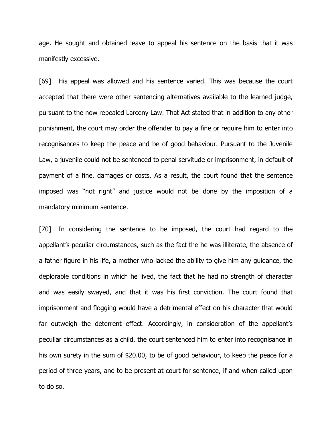age. He sought and obtained leave to appeal his sentence on the basis that it was manifestly excessive.

[69] His appeal was allowed and his sentence varied. This was because the court accepted that there were other sentencing alternatives available to the learned judge, pursuant to the now repealed Larceny Law. That Act stated that in addition to any other punishment, the court may order the offender to pay a fine or require him to enter into recognisances to keep the peace and be of good behaviour. Pursuant to the Juvenile Law, a juvenile could not be sentenced to penal servitude or imprisonment, in default of payment of a fine, damages or costs. As a result, the court found that the sentence imposed was "not right" and justice would not be done by the imposition of a mandatory minimum sentence.

[70] In considering the sentence to be imposed, the court had regard to the appellant's peculiar circumstances, such as the fact the he was illiterate, the absence of a father figure in his life, a mother who lacked the ability to give him any guidance, the deplorable conditions in which he lived, the fact that he had no strength of character and was easily swayed, and that it was his first conviction. The court found that imprisonment and flogging would have a detrimental effect on his character that would far outweigh the deterrent effect. Accordingly, in consideration of the appellant's peculiar circumstances as a child, the court sentenced him to enter into recognisance in his own surety in the sum of \$20.00, to be of good behaviour, to keep the peace for a period of three years, and to be present at court for sentence, if and when called upon to do so.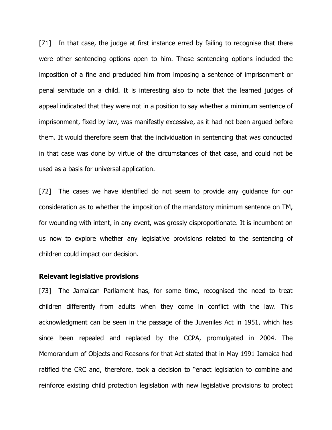[71] In that case, the judge at first instance erred by failing to recognise that there were other sentencing options open to him. Those sentencing options included the imposition of a fine and precluded him from imposing a sentence of imprisonment or penal servitude on a child. It is interesting also to note that the learned judges of appeal indicated that they were not in a position to say whether a minimum sentence of imprisonment, fixed by law, was manifestly excessive, as it had not been argued before them. It would therefore seem that the individuation in sentencing that was conducted in that case was done by virtue of the circumstances of that case, and could not be used as a basis for universal application.

[72] The cases we have identified do not seem to provide any guidance for our consideration as to whether the imposition of the mandatory minimum sentence on TM, for wounding with intent, in any event, was grossly disproportionate. It is incumbent on us now to explore whether any legislative provisions related to the sentencing of children could impact our decision.

#### **Relevant legislative provisions**

[73] The Jamaican Parliament has, for some time, recognised the need to treat children differently from adults when they come in conflict with the law. This acknowledgment can be seen in the passage of the Juveniles Act in 1951, which has since been repealed and replaced by the CCPA, promulgated in 2004. The Memorandum of Objects and Reasons for that Act stated that in May 1991 Jamaica had ratified the CRC and, therefore, took a decision to "enact legislation to combine and reinforce existing child protection legislation with new legislative provisions to protect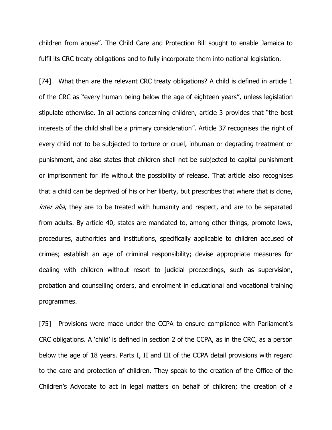children from abuse". The Child Care and Protection Bill sought to enable Jamaica to fulfil its CRC treaty obligations and to fully incorporate them into national legislation.

[74] What then are the relevant CRC treaty obligations? A child is defined in article 1 of the CRC as "every human being below the age of eighteen years", unless legislation stipulate otherwise. In all actions concerning children, article 3 provides that "the best interests of the child shall be a primary consideration". Article 37 recognises the right of every child not to be subjected to torture or cruel, inhuman or degrading treatment or punishment, and also states that children shall not be subjected to capital punishment or imprisonment for life without the possibility of release. That article also recognises that a child can be deprived of his or her liberty, but prescribes that where that is done, inter alia, they are to be treated with humanity and respect, and are to be separated from adults. By article 40, states are mandated to, among other things, promote laws, procedures, authorities and institutions, specifically applicable to children accused of crimes; establish an age of criminal responsibility; devise appropriate measures for dealing with children without resort to judicial proceedings, such as supervision, probation and counselling orders, and enrolment in educational and vocational training programmes.

[75] Provisions were made under the CCPA to ensure compliance with Parliament's CRC obligations. A 'child' is defined in section 2 of the CCPA, as in the CRC, as a person below the age of 18 years. Parts I, II and III of the CCPA detail provisions with regard to the care and protection of children. They speak to the creation of the Office of the Children's Advocate to act in legal matters on behalf of children; the creation of a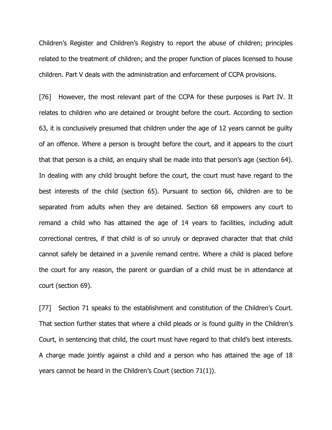Children's Register and Children's Registry to report the abuse of children; principles related to the treatment of children; and the proper function of places licensed to house children. Part V deals with the administration and enforcement of CCPA provisions.

[76] However, the most relevant part of the CCPA for these purposes is Part IV. It relates to children who are detained or brought before the court. According to section 63, it is conclusively presumed that children under the age of 12 years cannot be guilty of an offence. Where a person is brought before the court, and it appears to the court that that person is a child, an enquiry shall be made into that person's age (section 64). In dealing with any child brought before the court, the court must have regard to the best interests of the child (section 65). Pursuant to section 66, children are to be separated from adults when they are detained. Section 68 empowers any court to remand a child who has attained the age of 14 years to facilities, including adult correctional centres, if that child is of so unruly or depraved character that that child cannot safely be detained in a juvenile remand centre. Where a child is placed before the court for any reason, the parent or guardian of a child must be in attendance at court (section 69).

[77] Section 71 speaks to the establishment and constitution of the Children's Court. That section further states that where a child pleads or is found guilty in the Children's Court, in sentencing that child, the court must have regard to that child's best interests. A charge made jointly against a child and a person who has attained the age of 18 years cannot be heard in the Children's Court (section 71(1)).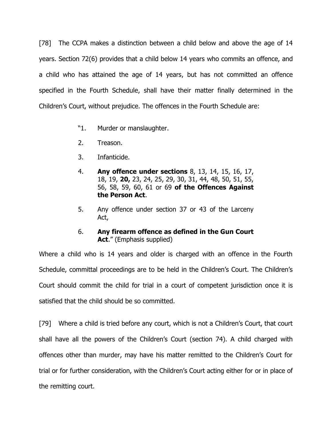[78] The CCPA makes a distinction between a child below and above the age of 14 years. Section 72(6) provides that a child below 14 years who commits an offence, and a child who has attained the age of 14 years, but has not committed an offence specified in the Fourth Schedule, shall have their matter finally determined in the Children's Court, without prejudice. The offences in the Fourth Schedule are:

- "1. Murder or manslaughter.
- 2. Treason.
- 3. Infanticide.
- 4. **Any offence under sections** 8, 13, 14, 15, 16, 17, 18, 19, **20,** 23, 24, 25, 29, 30, 31, 44, 48, 50, 51, 55, 56, 58, 59, 60, 61 or 69 **of the Offences Against the Person Act**.
- 5. Any offence under section 37 or 43 of the Larceny Act,
- 6. **Any firearm offence as defined in the Gun Court Act**." (Emphasis supplied)

Where a child who is 14 years and older is charged with an offence in the Fourth Schedule, committal proceedings are to be held in the Children's Court. The Children's Court should commit the child for trial in a court of competent jurisdiction once it is satisfied that the child should be so committed.

[79] Where a child is tried before any court, which is not a Children's Court, that court shall have all the powers of the Children's Court (section 74). A child charged with offences other than murder, may have his matter remitted to the Children's Court for trial or for further consideration, with the Children's Court acting either for or in place of the remitting court.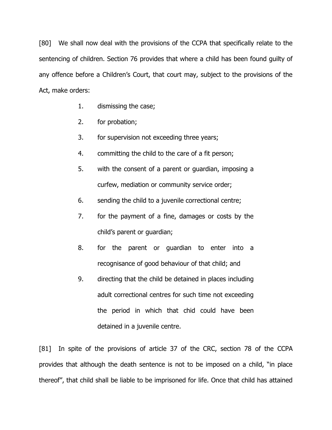[80] We shall now deal with the provisions of the CCPA that specifically relate to the sentencing of children. Section 76 provides that where a child has been found guilty of any offence before a Children's Court, that court may, subject to the provisions of the Act, make orders:

- 1. dismissing the case;
- 2. for probation;
- 3. for supervision not exceeding three years;
- 4. committing the child to the care of a fit person;
- 5. with the consent of a parent or guardian, imposing a curfew, mediation or community service order;
- 6. sending the child to a juvenile correctional centre;
- 7. for the payment of a fine, damages or costs by the child's parent or guardian;
- 8. for the parent or guardian to enter into a recognisance of good behaviour of that child; and
- 9. directing that the child be detained in places including adult correctional centres for such time not exceeding the period in which that chid could have been detained in a juvenile centre.

[81] In spite of the provisions of article 37 of the CRC, section 78 of the CCPA provides that although the death sentence is not to be imposed on a child, "in place thereof", that child shall be liable to be imprisoned for life. Once that child has attained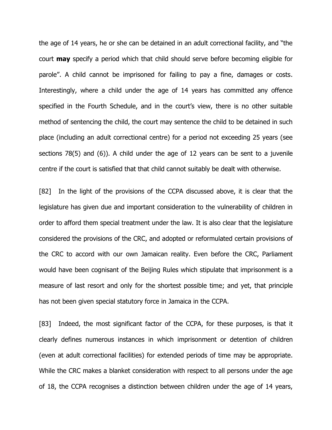the age of 14 years, he or she can be detained in an adult correctional facility, and "the court **may** specify a period which that child should serve before becoming eligible for parole". A child cannot be imprisoned for failing to pay a fine, damages or costs. Interestingly, where a child under the age of 14 years has committed any offence specified in the Fourth Schedule, and in the court's view, there is no other suitable method of sentencing the child, the court may sentence the child to be detained in such place (including an adult correctional centre) for a period not exceeding 25 years (see sections 78(5) and (6)). A child under the age of 12 years can be sent to a juvenile centre if the court is satisfied that that child cannot suitably be dealt with otherwise.

[82] In the light of the provisions of the CCPA discussed above, it is clear that the legislature has given due and important consideration to the vulnerability of children in order to afford them special treatment under the law. It is also clear that the legislature considered the provisions of the CRC, and adopted or reformulated certain provisions of the CRC to accord with our own Jamaican reality. Even before the CRC, Parliament would have been cognisant of the Beijing Rules which stipulate that imprisonment is a measure of last resort and only for the shortest possible time; and yet, that principle has not been given special statutory force in Jamaica in the CCPA.

[83] Indeed, the most significant factor of the CCPA, for these purposes, is that it clearly defines numerous instances in which imprisonment or detention of children (even at adult correctional facilities) for extended periods of time may be appropriate. While the CRC makes a blanket consideration with respect to all persons under the age of 18, the CCPA recognises a distinction between children under the age of 14 years,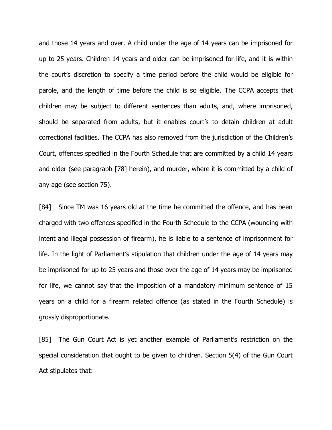and those 14 years and over. A child under the age of 14 years can be imprisoned for up to 25 years. Children 14 years and older can be imprisoned for life, and it is within the court's discretion to specify a time period before the child would be eligible for parole, and the length of time before the child is so eligible. The CCPA accepts that children may be subject to different sentences than adults, and, where imprisoned, should be separated from adults, but it enables court's to detain children at adult correctional facilities. The CCPA has also removed from the jurisdiction of the Children's Court, offences specified in the Fourth Schedule that are committed by a child 14 years and older (see paragraph [78] herein), and murder, where it is committed by a child of any age (see section 75).

[84] Since TM was 16 years old at the time he committed the offence, and has been charged with two offences specified in the Fourth Schedule to the CCPA (wounding with intent and illegal possession of firearm), he is liable to a sentence of imprisonment for life. In the light of Parliament's stipulation that children under the age of 14 years may be imprisoned for up to 25 years and those over the age of 14 years may be imprisoned for life, we cannot say that the imposition of a mandatory minimum sentence of 15 years on a child for a firearm related offence (as stated in the Fourth Schedule) is grossly disproportionate.

[85] The Gun Court Act is yet another example of Parliament's restriction on the special consideration that ought to be given to children. Section 5(4) of the Gun Court Act stipulates that: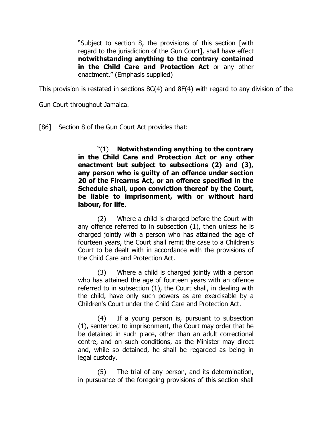"Subject to section 8, the provisions of this section [with regard to the jurisdiction of the Gun Court], shall have effect **notwithstanding anything to the contrary contained in the Child Care and Protection Act** or any other enactment." (Emphasis supplied)

This provision is restated in sections 8C(4) and 8F(4) with regard to any division of the

Gun Court throughout Jamaica.

[86] Section 8 of the Gun Court Act provides that:

"(1) **Notwithstanding anything to the contrary in the Child Care and Protection Act or any other enactment but subject to subsections (2) and (3), any person who is guilty of an offence under section 20 of the Firearms Act, or an offence specified in the Schedule shall, upon conviction thereof by the Court, be liable to imprisonment, with or without hard labour, for life**.

(2) Where a child is charged before the Court with any offence referred to in subsection (1), then unless he is charged jointly with a person who has attained the age of fourteen years, the Court shall remit the case to a Children's Court to be dealt with in accordance with the provisions of the Child Care and Protection Act.

(3) Where a child is charged jointly with a person who has attained the age of fourteen years with an offence referred to in subsection (1), the Court shall, in dealing with the child, have only such powers as are exercisable by a Children's Court under the Child Care and Protection Act.

(4) If a young person is, pursuant to subsection (1), sentenced to imprisonment, the Court may order that he be detained in such place, other than an adult correctional centre, and on such conditions, as the Minister may direct and, while so detained, he shall be regarded as being in legal custody.

(5) The trial of any person, and its determination, in pursuance of the foregoing provisions of this section shall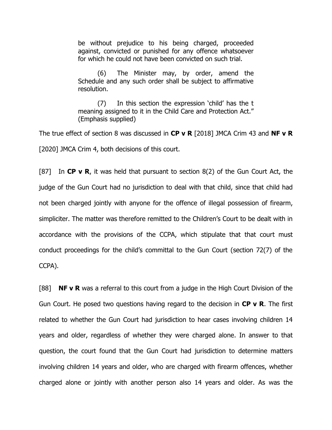be without prejudice to his being charged, proceeded against, convicted or punished for any offence whatsoever for which he could not have been convicted on such trial.

(6) The Minister may, by order, amend the Schedule and any such order shall be subject to affirmative resolution.

(7) In this section the expression 'child' has the t meaning assigned to it in the Child Care and Protection Act." (Emphasis supplied)

The true effect of section 8 was discussed in **CP v R** [2018] JMCA Crim 43 and **NF v R** [2020] JMCA Crim 4, both decisions of this court.

[87] In **CP v R**, it was held that pursuant to section 8(2) of the Gun Court Act, the judge of the Gun Court had no jurisdiction to deal with that child, since that child had not been charged jointly with anyone for the offence of illegal possession of firearm, simpliciter. The matter was therefore remitted to the Children's Court to be dealt with in accordance with the provisions of the CCPA, which stipulate that that court must conduct proceedings for the child's committal to the Gun Court (section 72(7) of the CCPA).

[88] **NF v R** was a referral to this court from a judge in the High Court Division of the Gun Court. He posed two questions having regard to the decision in **CP v R**. The first related to whether the Gun Court had jurisdiction to hear cases involving children 14 years and older, regardless of whether they were charged alone. In answer to that question, the court found that the Gun Court had jurisdiction to determine matters involving children 14 years and older, who are charged with firearm offences, whether charged alone or jointly with another person also 14 years and older. As was the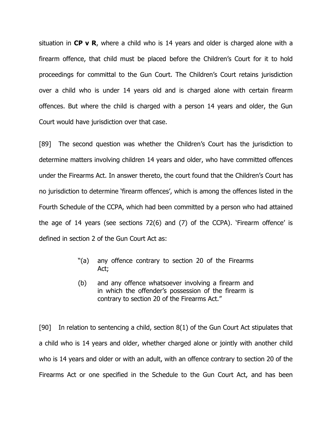situation in **CP v R**, where a child who is 14 years and older is charged alone with a firearm offence, that child must be placed before the Children's Court for it to hold proceedings for committal to the Gun Court. The Children's Court retains jurisdiction over a child who is under 14 years old and is charged alone with certain firearm offences. But where the child is charged with a person 14 years and older, the Gun Court would have jurisdiction over that case.

[89] The second question was whether the Children's Court has the jurisdiction to determine matters involving children 14 years and older, who have committed offences under the Firearms Act. In answer thereto, the court found that the Children's Court has no jurisdiction to determine 'firearm offences', which is among the offences listed in the Fourth Schedule of the CCPA, which had been committed by a person who had attained the age of 14 years (see sections 72(6) and (7) of the CCPA). 'Firearm offence' is defined in section 2 of the Gun Court Act as:

- "(a) any offence contrary to section 20 of the Firearms Act;
- (b) and any offence whatsoever involving a firearm and in which the offender's possession of the firearm is contrary to section 20 of the Firearms Act."

[90] In relation to sentencing a child, section  $8(1)$  of the Gun Court Act stipulates that a child who is 14 years and older, whether charged alone or jointly with another child who is 14 years and older or with an adult, with an offence contrary to section 20 of the Firearms Act or one specified in the Schedule to the Gun Court Act, and has been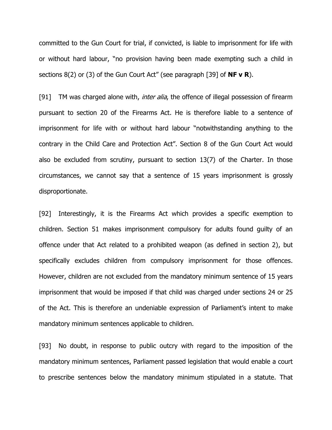committed to the Gun Court for trial, if convicted, is liable to imprisonment for life with or without hard labour, "no provision having been made exempting such a child in sections 8(2) or (3) of the Gun Court Act" (see paragraph [39] of **NF v R**).

[91] TM was charged alone with, *inter alia*, the offence of illegal possession of firearm pursuant to section 20 of the Firearms Act. He is therefore liable to a sentence of imprisonment for life with or without hard labour "notwithstanding anything to the contrary in the Child Care and Protection Act". Section 8 of the Gun Court Act would also be excluded from scrutiny, pursuant to section 13(7) of the Charter. In those circumstances, we cannot say that a sentence of 15 years imprisonment is grossly disproportionate.

[92] Interestingly, it is the Firearms Act which provides a specific exemption to children. Section 51 makes imprisonment compulsory for adults found guilty of an offence under that Act related to a prohibited weapon (as defined in section 2), but specifically excludes children from compulsory imprisonment for those offences. However, children are not excluded from the mandatory minimum sentence of 15 years imprisonment that would be imposed if that child was charged under sections 24 or 25 of the Act. This is therefore an undeniable expression of Parliament's intent to make mandatory minimum sentences applicable to children.

[93] No doubt, in response to public outcry with regard to the imposition of the mandatory minimum sentences, Parliament passed legislation that would enable a court to prescribe sentences below the mandatory minimum stipulated in a statute. That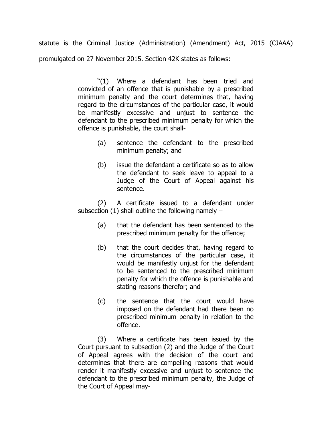statute is the Criminal Justice (Administration) (Amendment) Act, 2015 (CJAAA) promulgated on 27 November 2015. Section 42K states as follows:

> "(1) Where a defendant has been tried and convicted of an offence that is punishable by a prescribed minimum penalty and the court determines that, having regard to the circumstances of the particular case, it would be manifestly excessive and unjust to sentence the defendant to the prescribed minimum penalty for which the offence is punishable, the court shall-

- (a) sentence the defendant to the prescribed minimum penalty; and
- (b) issue the defendant a certificate so as to allow the defendant to seek leave to appeal to a Judge of the Court of Appeal against his sentence.

(2) A certificate issued to a defendant under subsection  $(1)$  shall outline the following namely  $-$ 

- (a) that the defendant has been sentenced to the prescribed minimum penalty for the offence;
- (b) that the court decides that, having regard to the circumstances of the particular case, it would be manifestly unjust for the defendant to be sentenced to the prescribed minimum penalty for which the offence is punishable and stating reasons therefor; and
- (c) the sentence that the court would have imposed on the defendant had there been no prescribed minimum penalty in relation to the offence.

(3) Where a certificate has been issued by the Court pursuant to subsection (2) and the Judge of the Court of Appeal agrees with the decision of the court and determines that there are compelling reasons that would render it manifestly excessive and unjust to sentence the defendant to the prescribed minimum penalty, the Judge of the Court of Appeal may-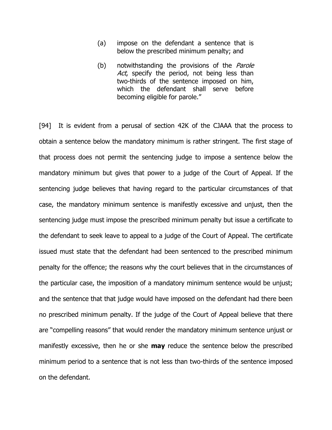- (a) impose on the defendant a sentence that is below the prescribed minimum penalty; and
- (b) notwithstanding the provisions of the *Parole* Act, specify the period, not being less than two-thirds of the sentence imposed on him, which the defendant shall serve before becoming eligible for parole."

[94] It is evident from a perusal of section 42K of the CJAAA that the process to obtain a sentence below the mandatory minimum is rather stringent. The first stage of that process does not permit the sentencing judge to impose a sentence below the mandatory minimum but gives that power to a judge of the Court of Appeal. If the sentencing judge believes that having regard to the particular circumstances of that case, the mandatory minimum sentence is manifestly excessive and unjust, then the sentencing judge must impose the prescribed minimum penalty but issue a certificate to the defendant to seek leave to appeal to a judge of the Court of Appeal. The certificate issued must state that the defendant had been sentenced to the prescribed minimum penalty for the offence; the reasons why the court believes that in the circumstances of the particular case, the imposition of a mandatory minimum sentence would be unjust; and the sentence that that judge would have imposed on the defendant had there been no prescribed minimum penalty. If the judge of the Court of Appeal believe that there are "compelling reasons" that would render the mandatory minimum sentence unjust or manifestly excessive, then he or she **may** reduce the sentence below the prescribed minimum period to a sentence that is not less than two-thirds of the sentence imposed on the defendant.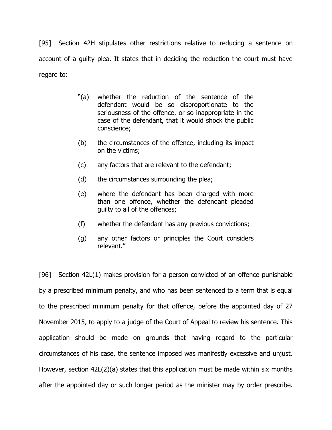[95] Section 42H stipulates other restrictions relative to reducing a sentence on account of a guilty plea. It states that in deciding the reduction the court must have regard to:

- "(a) whether the reduction of the sentence of the defendant would be so disproportionate to the seriousness of the offence, or so inappropriate in the case of the defendant, that it would shock the public conscience;
- (b) the circumstances of the offence, including its impact on the victims;
- (c) any factors that are relevant to the defendant;
- (d) the circumstances surrounding the plea;
- (e) where the defendant has been charged with more than one offence, whether the defendant pleaded guilty to all of the offences;
- (f) whether the defendant has any previous convictions;
- (g) any other factors or principles the Court considers relevant."

[96] Section 42L(1) makes provision for a person convicted of an offence punishable by a prescribed minimum penalty, and who has been sentenced to a term that is equal to the prescribed minimum penalty for that offence, before the appointed day of 27 November 2015, to apply to a judge of the Court of Appeal to review his sentence. This application should be made on grounds that having regard to the particular circumstances of his case, the sentence imposed was manifestly excessive and unjust. However, section 42L(2)(a) states that this application must be made within six months after the appointed day or such longer period as the minister may by order prescribe.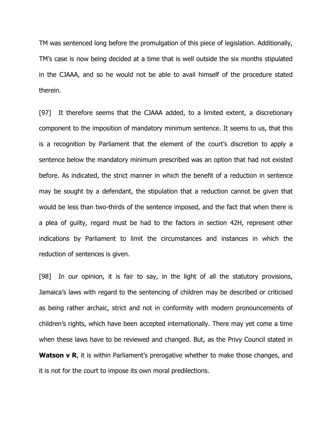TM was sentenced long before the promulgation of this piece of legislation. Additionally, TM's case is now being decided at a time that is well outside the six months stipulated in the CJAAA, and so he would not be able to avail himself of the procedure stated therein.

[97] It therefore seems that the CJAAA added, to a limited extent, a discretionary component to the imposition of mandatory minimum sentence. It seems to us, that this is a recognition by Parliament that the element of the court's discretion to apply a sentence below the mandatory minimum prescribed was an option that had not existed before. As indicated, the strict manner in which the benefit of a reduction in sentence may be sought by a defendant, the stipulation that a reduction cannot be given that would be less than two-thirds of the sentence imposed, and the fact that when there is a plea of guilty, regard must be had to the factors in section 42H, represent other indications by Parliament to limit the circumstances and instances in which the reduction of sentences is given.

[98] In our opinion, it is fair to say, in the light of all the statutory provisions, Jamaica's laws with regard to the sentencing of children may be described or criticised as being rather archaic, strict and not in conformity with modern pronouncements of children's rights, which have been accepted internationally. There may yet come a time when these laws have to be reviewed and changed. But, as the Privy Council stated in **Watson v R**, it is within Parliament's prerogative whether to make those changes, and it is not for the court to impose its own moral predilections.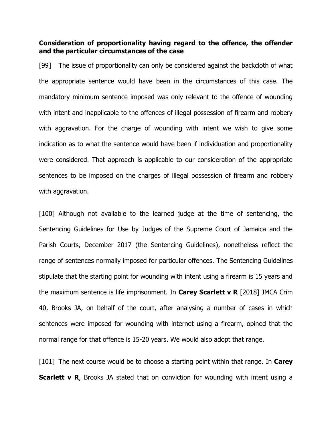# **Consideration of proportionality having regard to the offence, the offender and the particular circumstances of the case**

[99] The issue of proportionality can only be considered against the backcloth of what the appropriate sentence would have been in the circumstances of this case. The mandatory minimum sentence imposed was only relevant to the offence of wounding with intent and inapplicable to the offences of illegal possession of firearm and robbery with aggravation. For the charge of wounding with intent we wish to give some indication as to what the sentence would have been if individuation and proportionality were considered. That approach is applicable to our consideration of the appropriate sentences to be imposed on the charges of illegal possession of firearm and robbery with aggravation.

[100] Although not available to the learned judge at the time of sentencing, the Sentencing Guidelines for Use by Judges of the Supreme Court of Jamaica and the Parish Courts, December 2017 (the Sentencing Guidelines), nonetheless reflect the range of sentences normally imposed for particular offences. The Sentencing Guidelines stipulate that the starting point for wounding with intent using a firearm is 15 years and the maximum sentence is life imprisonment. In **Carey Scarlett v R** [2018] JMCA Crim 40, Brooks JA, on behalf of the court, after analysing a number of cases in which sentences were imposed for wounding with internet using a firearm, opined that the normal range for that offence is 15-20 years. We would also adopt that range.

[101] The next course would be to choose a starting point within that range. In **Carey Scarlett v R**, Brooks JA stated that on conviction for wounding with intent using a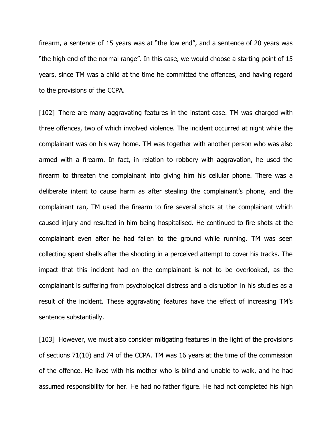firearm, a sentence of 15 years was at "the low end", and a sentence of 20 years was "the high end of the normal range". In this case, we would choose a starting point of 15 years, since TM was a child at the time he committed the offences, and having regard to the provisions of the CCPA.

[102] There are many aggravating features in the instant case. TM was charged with three offences, two of which involved violence. The incident occurred at night while the complainant was on his way home. TM was together with another person who was also armed with a firearm. In fact, in relation to robbery with aggravation, he used the firearm to threaten the complainant into giving him his cellular phone. There was a deliberate intent to cause harm as after stealing the complainant's phone, and the complainant ran, TM used the firearm to fire several shots at the complainant which caused injury and resulted in him being hospitalised. He continued to fire shots at the complainant even after he had fallen to the ground while running. TM was seen collecting spent shells after the shooting in a perceived attempt to cover his tracks. The impact that this incident had on the complainant is not to be overlooked, as the complainant is suffering from psychological distress and a disruption in his studies as a result of the incident. These aggravating features have the effect of increasing TM's sentence substantially.

[103] However, we must also consider mitigating features in the light of the provisions of sections 71(10) and 74 of the CCPA. TM was 16 years at the time of the commission of the offence. He lived with his mother who is blind and unable to walk, and he had assumed responsibility for her. He had no father figure. He had not completed his high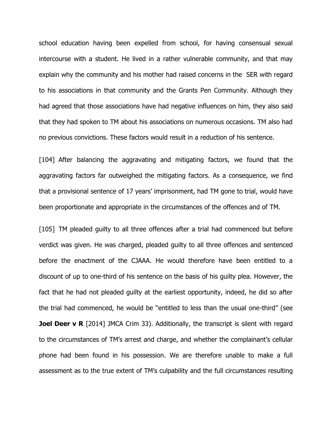school education having been expelled from school, for having consensual sexual intercourse with a student. He lived in a rather vulnerable community, and that may explain why the community and his mother had raised concerns in the SER with regard to his associations in that community and the Grants Pen Community. Although they had agreed that those associations have had negative influences on him, they also said that they had spoken to TM about his associations on numerous occasions. TM also had no previous convictions. These factors would result in a reduction of his sentence.

[104] After balancing the aggravating and mitigating factors, we found that the aggravating factors far outweighed the mitigating factors. As a consequence, we find that a provisional sentence of 17 years' imprisonment, had TM gone to trial, would have been proportionate and appropriate in the circumstances of the offences and of TM.

[105] TM pleaded guilty to all three offences after a trial had commenced but before verdict was given. He was charged, pleaded guilty to all three offences and sentenced before the enactment of the CJAAA. He would therefore have been entitled to a discount of up to one-third of his sentence on the basis of his guilty plea. However, the fact that he had not pleaded guilty at the earliest opportunity, indeed, he did so after the trial had commenced, he would be "entitled to less than the usual one-third" (see **Joel Deer v R** [2014] JMCA Crim 33). Additionally, the transcript is silent with regard to the circumstances of TM's arrest and charge, and whether the complainant's cellular phone had been found in his possession. We are therefore unable to make a full assessment as to the true extent of TM's culpability and the full circumstances resulting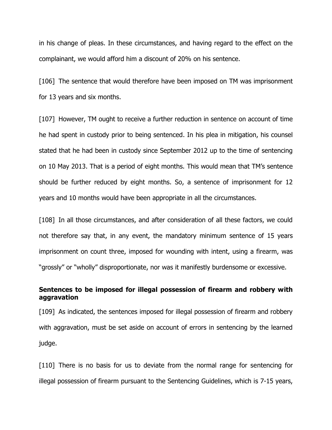in his change of pleas. In these circumstances, and having regard to the effect on the complainant, we would afford him a discount of 20% on his sentence.

[106] The sentence that would therefore have been imposed on TM was imprisonment for 13 years and six months.

[107] However, TM ought to receive a further reduction in sentence on account of time he had spent in custody prior to being sentenced. In his plea in mitigation, his counsel stated that he had been in custody since September 2012 up to the time of sentencing on 10 May 2013. That is a period of eight months. This would mean that TM's sentence should be further reduced by eight months. So, a sentence of imprisonment for 12 years and 10 months would have been appropriate in all the circumstances.

[108] In all those circumstances, and after consideration of all these factors, we could not therefore say that, in any event, the mandatory minimum sentence of 15 years imprisonment on count three, imposed for wounding with intent, using a firearm, was "grossly" or "wholly" disproportionate, nor was it manifestly burdensome or excessive.

# **Sentences to be imposed for illegal possession of firearm and robbery with aggravation**

[109] As indicated, the sentences imposed for illegal possession of firearm and robbery with aggravation, must be set aside on account of errors in sentencing by the learned judge.

[110] There is no basis for us to deviate from the normal range for sentencing for illegal possession of firearm pursuant to the Sentencing Guidelines, which is 7-15 years,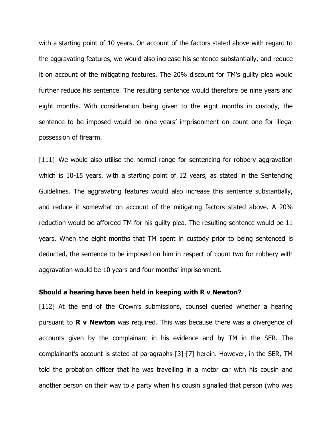with a starting point of 10 years. On account of the factors stated above with regard to the aggravating features, we would also increase his sentence substantially, and reduce it on account of the mitigating features. The 20% discount for TM's guilty plea would further reduce his sentence. The resulting sentence would therefore be nine years and eight months. With consideration being given to the eight months in custody, the sentence to be imposed would be nine years' imprisonment on count one for illegal possession of firearm.

[111] We would also utilise the normal range for sentencing for robbery aggravation which is 10-15 years, with a starting point of 12 years, as stated in the Sentencing Guidelines. The aggravating features would also increase this sentence substantially, and reduce it somewhat on account of the mitigating factors stated above. A 20% reduction would be afforded TM for his guilty plea. The resulting sentence would be 11 years. When the eight months that TM spent in custody prior to being sentenced is deducted, the sentence to be imposed on him in respect of count two for robbery with aggravation would be 10 years and four months' imprisonment.

### **Should a hearing have been held in keeping with R v Newton?**

[112] At the end of the Crown's submissions, counsel queried whether a hearing pursuant to **R v Newton** was required. This was because there was a divergence of accounts given by the complainant in his evidence and by TM in the SER. The complainant's account is stated at paragraphs [3]-[7] herein. However, in the SER, TM told the probation officer that he was travelling in a motor car with his cousin and another person on their way to a party when his cousin signalled that person (who was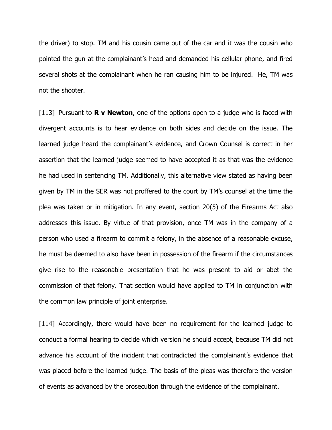the driver) to stop. TM and his cousin came out of the car and it was the cousin who pointed the gun at the complainant's head and demanded his cellular phone, and fired several shots at the complainant when he ran causing him to be injured. He, TM was not the shooter.

[113] Pursuant to **R v Newton**, one of the options open to a judge who is faced with divergent accounts is to hear evidence on both sides and decide on the issue. The learned judge heard the complainant's evidence, and Crown Counsel is correct in her assertion that the learned judge seemed to have accepted it as that was the evidence he had used in sentencing TM. Additionally, this alternative view stated as having been given by TM in the SER was not proffered to the court by TM's counsel at the time the plea was taken or in mitigation. In any event, section 20(5) of the Firearms Act also addresses this issue. By virtue of that provision, once TM was in the company of a person who used a firearm to commit a felony, in the absence of a reasonable excuse, he must be deemed to also have been in possession of the firearm if the circumstances give rise to the reasonable presentation that he was present to aid or abet the commission of that felony. That section would have applied to TM in conjunction with the common law principle of joint enterprise.

[114] Accordingly, there would have been no requirement for the learned judge to conduct a formal hearing to decide which version he should accept, because TM did not advance his account of the incident that contradicted the complainant's evidence that was placed before the learned judge. The basis of the pleas was therefore the version of events as advanced by the prosecution through the evidence of the complainant.